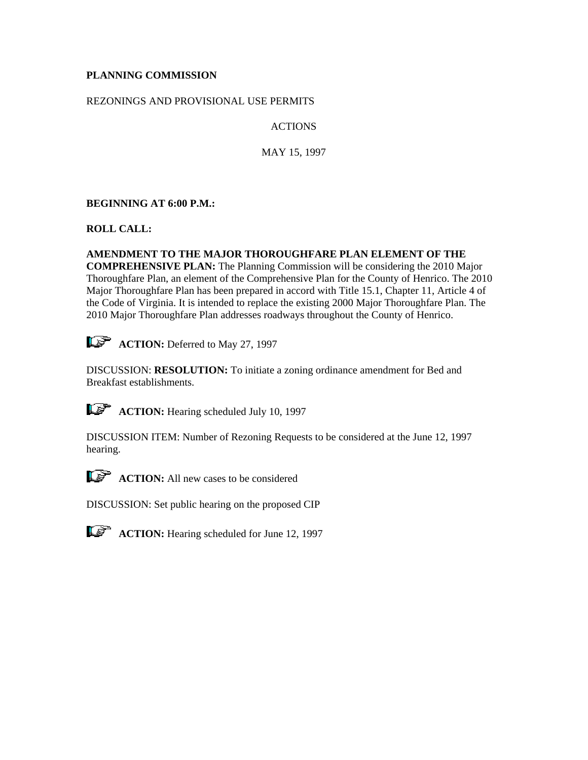## **PLANNING COMMISSION**

### REZONINGS AND PROVISIONAL USE PERMITS

ACTIONS

MAY 15, 1997

# **BEGINNING AT 6:00 P.M.:**

**ROLL CALL:**

## **AMENDMENT TO THE MAJOR THOROUGHFARE PLAN ELEMENT OF THE**

**COMPREHENSIVE PLAN:** The Planning Commission will be considering the 2010 Major Thoroughfare Plan, an element of the Comprehensive Plan for the County of Henrico. The 2010 Major Thoroughfare Plan has been prepared in accord with Title 15.1, Chapter 11, Article 4 of the Code of Virginia. It is intended to replace the existing 2000 Major Thoroughfare Plan. The 2010 Major Thoroughfare Plan addresses roadways throughout the County of Henrico.

**ACTION:** Deferred to May 27, 1997

DISCUSSION: **RESOLUTION:** To initiate a zoning ordinance amendment for Bed and Breakfast establishments.

**ACTION:** Hearing scheduled July 10, 1997

DISCUSSION ITEM: Number of Rezoning Requests to be considered at the June 12, 1997 hearing.



**ACTION:** All new cases to be considered

DISCUSSION: Set public hearing on the proposed CIP



**ACTION:** Hearing scheduled for June 12, 1997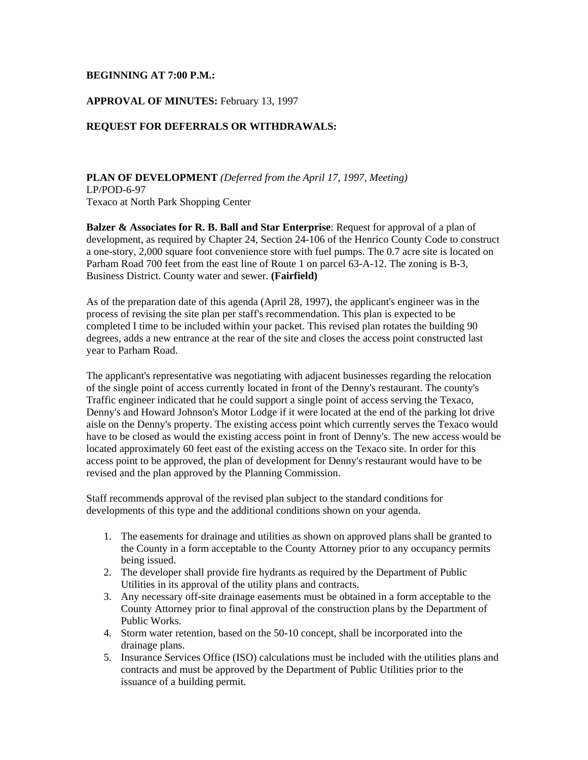#### **BEGINNING AT 7:00 P.M.:**

### **APPROVAL OF MINUTES:** February 13, 1997

#### **REQUEST FOR DEFERRALS OR WITHDRAWALS:**

**PLAN OF DEVELOPMENT** *(Deferred from the April 17, 1997, Meeting)* LP/POD-6-97 Texaco at North Park Shopping Center

**Balzer & Associates for R. B. Ball and Star Enterprise**: Request for approval of a plan of development, as required by Chapter 24, Section 24-106 of the Henrico County Code to construct a one-story, 2,000 square foot convenience store with fuel pumps. The 0.7 acre site is located on Parham Road 700 feet from the east line of Route 1 on parcel 63-A-12. The zoning is B-3, Business District. County water and sewer. **(Fairfield)**

As of the preparation date of this agenda (April 28, 1997), the applicant's engineer was in the process of revising the site plan per staff's recommendation. This plan is expected to be completed I time to be included within your packet. This revised plan rotates the building 90 degrees, adds a new entrance at the rear of the site and closes the access point constructed last year to Parham Road.

The applicant's representative was negotiating with adjacent businesses regarding the relocation of the single point of access currently located in front of the Denny's restaurant. The county's Traffic engineer indicated that he could support a single point of access serving the Texaco, Denny's and Howard Johnson's Motor Lodge if it were located at the end of the parking lot drive aisle on the Denny's property. The existing access point which currently serves the Texaco would have to be closed as would the existing access point in front of Denny's. The new access would be located approximately 60 feet east of the existing access on the Texaco site. In order for this access point to be approved, the plan of development for Denny's restaurant would have to be revised and the plan approved by the Planning Commission.

Staff recommends approval of the revised plan subject to the standard conditions for developments of this type and the additional conditions shown on your agenda.

- 1. The easements for drainage and utilities as shown on approved plans shall be granted to the County in a form acceptable to the County Attorney prior to any occupancy permits being issued.
- 2. The developer shall provide fire hydrants as required by the Department of Public Utilities in its approval of the utility plans and contracts.
- 3. Any necessary off-site drainage easements must be obtained in a form acceptable to the County Attorney prior to final approval of the construction plans by the Department of Public Works.
- 4. Storm water retention, based on the 50-10 concept, shall be incorporated into the drainage plans.
- 5. Insurance Services Office (ISO) calculations must be included with the utilities plans and contracts and must be approved by the Department of Public Utilities prior to the issuance of a building permit.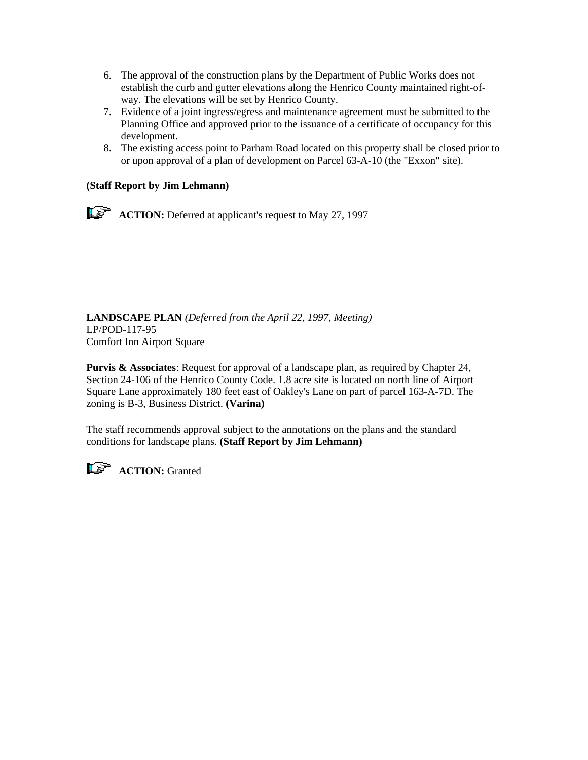- 6. The approval of the construction plans by the Department of Public Works does not establish the curb and gutter elevations along the Henrico County maintained right-ofway. The elevations will be set by Henrico County.
- 7. Evidence of a joint ingress/egress and maintenance agreement must be submitted to the Planning Office and approved prior to the issuance of a certificate of occupancy for this development.
- 8. The existing access point to Parham Road located on this property shall be closed prior to or upon approval of a plan of development on Parcel 63-A-10 (the "Exxon" site).

## **(Staff Report by Jim Lehmann)**

**ACTION:** Deferred at applicant's request to May 27, 1997

**LANDSCAPE PLAN** *(Deferred from the April 22, 1997, Meeting)*  LP/POD-117-95 Comfort Inn Airport Square

**Purvis & Associates**: Request for approval of a landscape plan, as required by Chapter 24, Section 24-106 of the Henrico County Code. 1.8 acre site is located on north line of Airport Square Lane approximately 180 feet east of Oakley's Lane on part of parcel 163-A-7D. The zoning is B-3, Business District. **(Varina)**

The staff recommends approval subject to the annotations on the plans and the standard conditions for landscape plans. **(Staff Report by Jim Lehmann)**



**LET ACTION:** Granted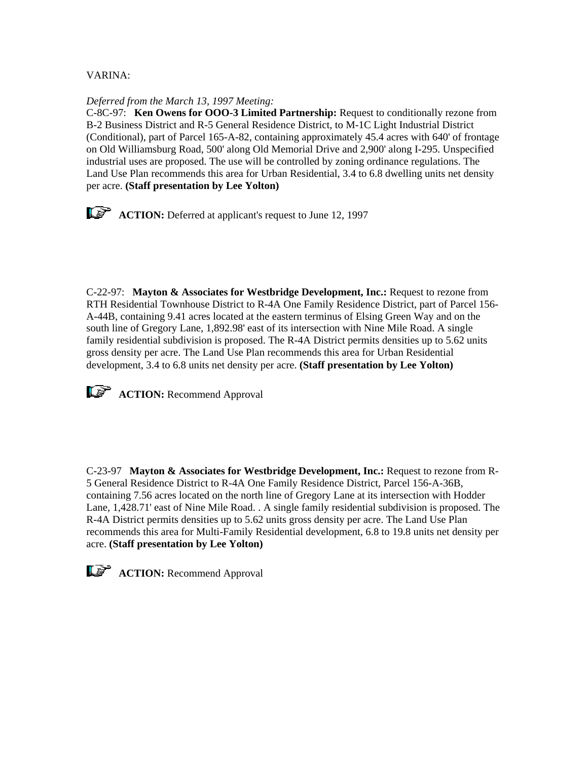### VARINA:

#### *Deferred from the March 13, 1997 Meeting:*

C-8C-97: **Ken Owens for OOO-3 Limited Partnership:** Request to conditionally rezone from B-2 Business District and R-5 General Residence District, to M-1C Light Industrial District (Conditional), part of Parcel 165-A-82, containing approximately 45.4 acres with 640' of frontage on Old Williamsburg Road, 500' along Old Memorial Drive and 2,900' along I-295. Unspecified industrial uses are proposed. The use will be controlled by zoning ordinance regulations. The Land Use Plan recommends this area for Urban Residential, 3.4 to 6.8 dwelling units net density per acre. **(Staff presentation by Lee Yolton)**

**ACTION:** Deferred at applicant's request to June 12, 1997

C-22-97: **Mayton & Associates for Westbridge Development, Inc.:** Request to rezone from RTH Residential Townhouse District to R-4A One Family Residence District, part of Parcel 156- A-44B, containing 9.41 acres located at the eastern terminus of Elsing Green Way and on the south line of Gregory Lane, 1,892.98' east of its intersection with Nine Mile Road. A single family residential subdivision is proposed. The R-4A District permits densities up to 5.62 units gross density per acre. The Land Use Plan recommends this area for Urban Residential development, 3.4 to 6.8 units net density per acre. **(Staff presentation by Lee Yolton)**



**ACTION:** Recommend Approval

C-23-97 **Mayton & Associates for Westbridge Development, Inc.:** Request to rezone from R-5 General Residence District to R-4A One Family Residence District, Parcel 156-A-36B, containing 7.56 acres located on the north line of Gregory Lane at its intersection with Hodder Lane, 1,428.71' east of Nine Mile Road. . A single family residential subdivision is proposed. The R-4A District permits densities up to 5.62 units gross density per acre. The Land Use Plan recommends this area for Multi-Family Residential development, 6.8 to 19.8 units net density per acre. **(Staff presentation by Lee Yolton)**

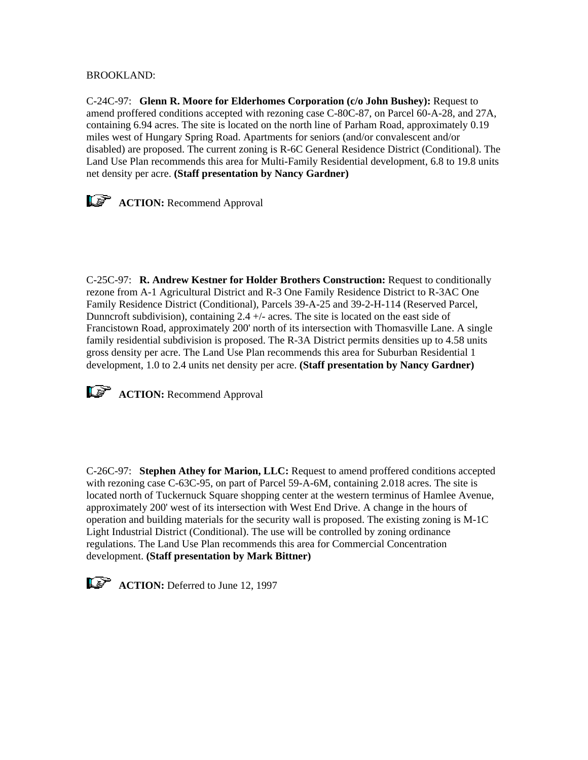BROOKLAND:

C-24C-97: **Glenn R. Moore for Elderhomes Corporation (c/o John Bushey):** Request to amend proffered conditions accepted with rezoning case C-80C-87, on Parcel 60-A-28, and 27A, containing 6.94 acres. The site is located on the north line of Parham Road, approximately 0.19 miles west of Hungary Spring Road. Apartments for seniors (and/or convalescent and/or disabled) are proposed. The current zoning is R-6C General Residence District (Conditional). The Land Use Plan recommends this area for Multi-Family Residential development, 6.8 to 19.8 units net density per acre. **(Staff presentation by Nancy Gardner)**



**ACTION:** Recommend Approval

C-25C-97: **R. Andrew Kestner for Holder Brothers Construction:** Request to conditionally rezone from A-1 Agricultural District and R-3 One Family Residence District to R-3AC One Family Residence District (Conditional), Parcels 39-A-25 and 39-2-H-114 (Reserved Parcel, Dunncroft subdivision), containing  $2.4 +/-$  acres. The site is located on the east side of Francistown Road, approximately 200' north of its intersection with Thomasville Lane. A single family residential subdivision is proposed. The R-3A District permits densities up to 4.58 units gross density per acre. The Land Use Plan recommends this area for Suburban Residential 1 development, 1.0 to 2.4 units net density per acre. **(Staff presentation by Nancy Gardner)**



**ACTION:** Recommend Approval

C-26C-97: **Stephen Athey for Marion, LLC:** Request to amend proffered conditions accepted with rezoning case C-63C-95, on part of Parcel 59-A-6M, containing 2.018 acres. The site is located north of Tuckernuck Square shopping center at the western terminus of Hamlee Avenue, approximately 200' west of its intersection with West End Drive. A change in the hours of operation and building materials for the security wall is proposed. The existing zoning is M-1C Light Industrial District (Conditional). The use will be controlled by zoning ordinance regulations. The Land Use Plan recommends this area for Commercial Concentration development. **(Staff presentation by Mark Bittner)**

**ACTION:** Deferred to June 12, 1997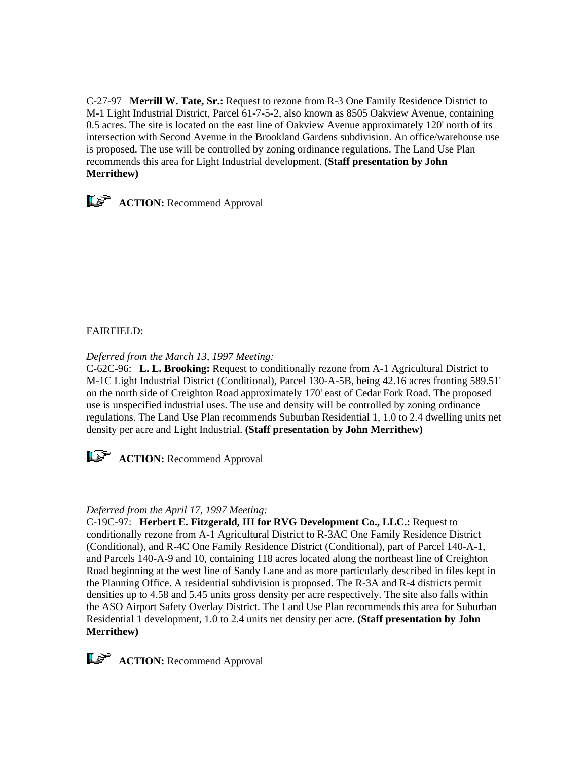C-27-97 **Merrill W. Tate, Sr.:** Request to rezone from R-3 One Family Residence District to M-1 Light Industrial District, Parcel 61-7-5-2, also known as 8505 Oakview Avenue, containing 0.5 acres. The site is located on the east line of Oakview Avenue approximately 120' north of its intersection with Second Avenue in the Brookland Gardens subdivision. An office/warehouse use is proposed. The use will be controlled by zoning ordinance regulations. The Land Use Plan recommends this area for Light Industrial development. **(Staff presentation by John Merrithew)**



**ACTION:** Recommend Approval

## FAIRFIELD:

*Deferred from the March 13, 1997 Meeting:*

C-62C-96: **L. L. Brooking:** Request to conditionally rezone from A-1 Agricultural District to M-1C Light Industrial District (Conditional), Parcel 130-A-5B, being 42.16 acres fronting 589.51' on the north side of Creighton Road approximately 170' east of Cedar Fork Road. The proposed use is unspecified industrial uses. The use and density will be controlled by zoning ordinance regulations. The Land Use Plan recommends Suburban Residential 1, 1.0 to 2.4 dwelling units net density per acre and Light Industrial. **(Staff presentation by John Merrithew)**



**ACTION:** Recommend Approval

### *Deferred from the April 17, 1997 Meeting:*

C-19C-97: **Herbert E. Fitzgerald, III for RVG Development Co., LLC.:** Request to conditionally rezone from A-1 Agricultural District to R-3AC One Family Residence District (Conditional), and R-4C One Family Residence District (Conditional), part of Parcel 140-A-1, and Parcels 140-A-9 and 10, containing 118 acres located along the northeast line of Creighton Road beginning at the west line of Sandy Lane and as more particularly described in files kept in the Planning Office. A residential subdivision is proposed. The R-3A and R-4 districts permit densities up to 4.58 and 5.45 units gross density per acre respectively. The site also falls within the ASO Airport Safety Overlay District. The Land Use Plan recommends this area for Suburban Residential 1 development, 1.0 to 2.4 units net density per acre. **(Staff presentation by John Merrithew)**

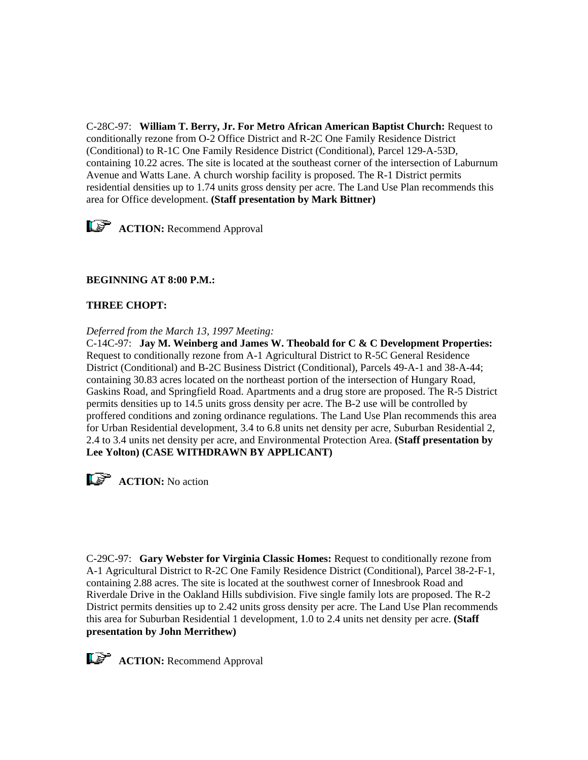C-28C-97: **William T. Berry, Jr. For Metro African American Baptist Church:** Request to conditionally rezone from O-2 Office District and R-2C One Family Residence District (Conditional) to R-1C One Family Residence District (Conditional), Parcel 129-A-53D, containing 10.22 acres. The site is located at the southeast corner of the intersection of Laburnum Avenue and Watts Lane. A church worship facility is proposed. The R-1 District permits residential densities up to 1.74 units gross density per acre. The Land Use Plan recommends this area for Office development. **(Staff presentation by Mark Bittner)**



## **BEGINNING AT 8:00 P.M.:**

#### **THREE CHOPT:**

*Deferred from the March 13, 1997 Meeting:*

C-14C-97: **Jay M. Weinberg and James W. Theobald for C & C Development Properties:** Request to conditionally rezone from A-1 Agricultural District to R-5C General Residence District (Conditional) and B-2C Business District (Conditional), Parcels 49-A-1 and 38-A-44; containing 30.83 acres located on the northeast portion of the intersection of Hungary Road, Gaskins Road, and Springfield Road. Apartments and a drug store are proposed. The R-5 District permits densities up to 14.5 units gross density per acre. The B-2 use will be controlled by proffered conditions and zoning ordinance regulations. The Land Use Plan recommends this area for Urban Residential development, 3.4 to 6.8 units net density per acre, Suburban Residential 2, 2.4 to 3.4 units net density per acre, and Environmental Protection Area. **(Staff presentation by Lee Yolton) (CASE WITHDRAWN BY APPLICANT)**

**ACTION:** No action

C-29C-97: **Gary Webster for Virginia Classic Homes:** Request to conditionally rezone from A-1 Agricultural District to R-2C One Family Residence District (Conditional), Parcel 38-2-F-1, containing 2.88 acres. The site is located at the southwest corner of Innesbrook Road and Riverdale Drive in the Oakland Hills subdivision. Five single family lots are proposed. The R-2 District permits densities up to 2.42 units gross density per acre. The Land Use Plan recommends this area for Suburban Residential 1 development, 1.0 to 2.4 units net density per acre. **(Staff presentation by John Merrithew)**

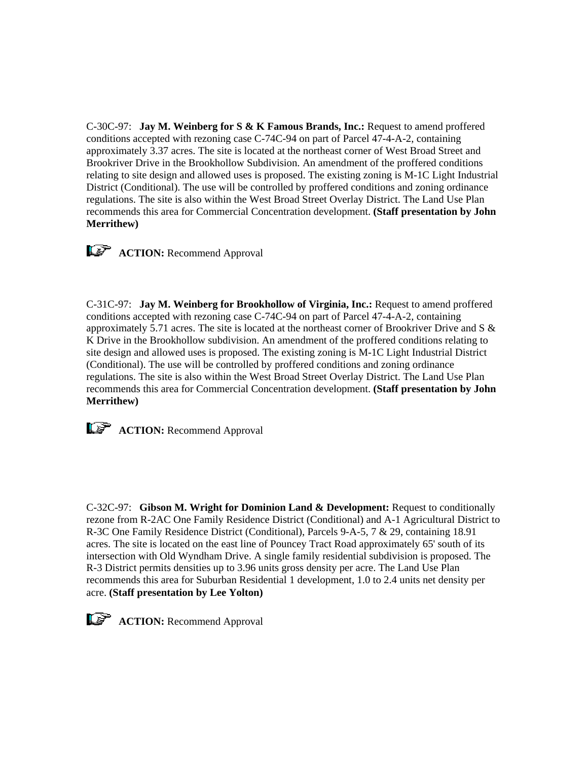C-30C-97: **Jay M. Weinberg for S & K Famous Brands, Inc.:** Request to amend proffered conditions accepted with rezoning case C-74C-94 on part of Parcel 47-4-A-2, containing approximately 3.37 acres. The site is located at the northeast corner of West Broad Street and Brookriver Drive in the Brookhollow Subdivision. An amendment of the proffered conditions relating to site design and allowed uses is proposed. The existing zoning is M-1C Light Industrial District (Conditional). The use will be controlled by proffered conditions and zoning ordinance regulations. The site is also within the West Broad Street Overlay District. The Land Use Plan recommends this area for Commercial Concentration development. **(Staff presentation by John Merrithew)**



**ACTION:** Recommend Approval

C-31C-97: **Jay M. Weinberg for Brookhollow of Virginia, Inc.:** Request to amend proffered conditions accepted with rezoning case C-74C-94 on part of Parcel 47-4-A-2, containing approximately 5.71 acres. The site is located at the northeast corner of Brookriver Drive and S  $\&$ K Drive in the Brookhollow subdivision. An amendment of the proffered conditions relating to site design and allowed uses is proposed. The existing zoning is M-1C Light Industrial District (Conditional). The use will be controlled by proffered conditions and zoning ordinance regulations. The site is also within the West Broad Street Overlay District. The Land Use Plan recommends this area for Commercial Concentration development. **(Staff presentation by John Merrithew)**



**ACTION:** Recommend Approval

C-32C-97: **Gibson M. Wright for Dominion Land & Development:** Request to conditionally rezone from R-2AC One Family Residence District (Conditional) and A-1 Agricultural District to R-3C One Family Residence District (Conditional), Parcels 9-A-5, 7 & 29, containing 18.91 acres. The site is located on the east line of Pouncey Tract Road approximately 65' south of its intersection with Old Wyndham Drive. A single family residential subdivision is proposed. The R-3 District permits densities up to 3.96 units gross density per acre. The Land Use Plan recommends this area for Suburban Residential 1 development, 1.0 to 2.4 units net density per acre. **(Staff presentation by Lee Yolton)**